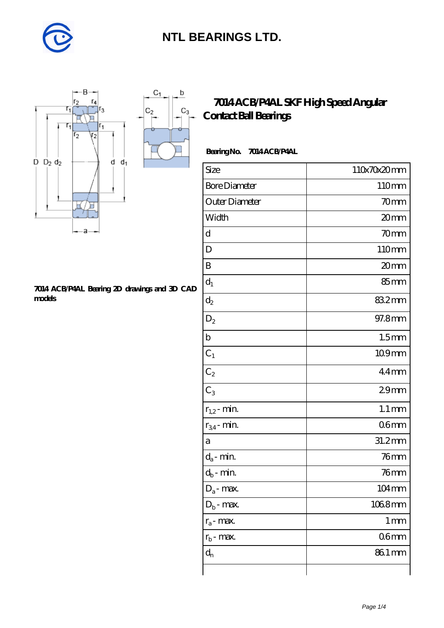

 $\mathsf b$ 

ó

 $C_3$ 



#### **[7014 ACB/P4AL Bearing 2D drawings and 3D CAD](https://m.diabetesfriends.net/pic-590823.html) [models](https://m.diabetesfriends.net/pic-590823.html)**

### **[7014 ACB/P4AL SKF High Speed Angular](https://m.diabetesfriends.net/skf-bearing/7014-acb-p4al.html) [Contact Ball Bearings](https://m.diabetesfriends.net/skf-bearing/7014-acb-p4al.html)**

#### **Bearing No. 7014 ACB/P4AL**

| Size                       | 110x70x20mm        |
|----------------------------|--------------------|
| <b>Bore Diameter</b>       | 110mm              |
| Outer Diameter             | 70mm               |
| Width                      | 20mm               |
| d                          | 70mm               |
| D                          | 110mm              |
| B                          | 20mm               |
| $d_1$                      | 85 <sub>mm</sub>   |
| $d_2$                      | 832mm              |
| $D_2$                      | 97.8mm             |
| $\mathbf b$                | 1.5 <sub>mm</sub>  |
| $C_1$                      | 109mm              |
| $C_2$                      | $44$ mm            |
| $C_3$                      | 29 <sub>mm</sub>   |
| $r_{1,2}$ - min.           | $1.1 \, \text{mm}$ |
| $r_{34}$ - min.            | 06 <sub>mm</sub>   |
| a                          | 31.2mm             |
| $d_a$ - min.               | $76$ mm            |
| $d_b\operatorname{-} \min$ | $76$ mm            |
| $D_a$ - max.               | 104mm              |
| $D_b$ - max.               | 1068mm             |
| $r_a$ - max.               | $1 \,\mathrm{mm}$  |
| $r_{\rm b}$ - max.         | 06 <sub>mm</sub>   |
| $d_{n}$                    | 861 mm             |
|                            |                    |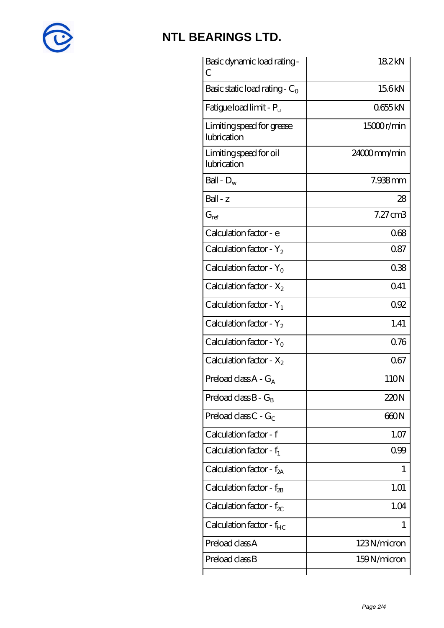

| Basic dynamic load rating -<br>С         | 182kN          |
|------------------------------------------|----------------|
| Basic static load rating - $C_0$         | 156kN          |
| Fatigue load limit - $P_{\rm u}$         | 0655kN         |
| Limiting speed for grease<br>lubrication | 15000r/min     |
| Limiting speed for oil<br>lubrication    | $24000$ mm/min |
| Ball - $D_w$                             | 7.938mm        |
| Ball - z                                 | 28             |
| $G_{\text{ref}}$                         | $7.27$ cm $3$  |
| Calculation factor - e                   | 068            |
| Calculation factor - $Y_2$               | 087            |
| Calculation factor - $Y_0$               | 038            |
| Calculation factor - $X_2$               | 041            |
| Calculation factor - $Y_1$               | 092            |
| Calculation factor - $Y_2$               | 1.41           |
| Calculation factor - $Y_0$               | 0.76           |
| Calculation factor - $X_2$               | 067            |
| Preload class $A - G_A$                  | 110N           |
| Preload class $B - G_B$                  | 220N           |
| Preload class C - $G_C$                  | 660N           |
| Calculation factor - f                   | 1.07           |
| Calculation factor - $f_1$               | 099            |
| Calculation factor - $f_{2A}$            | 1              |
| Calculation factor - $f_{\rm 2B}$        | 1.01           |
| Calculation factor - $f_{\chi}$          | 1.04           |
| Calculation factor - $f_{HC}$            | 1              |
| Preload class A                          | 123N/micron    |
| Preload class B                          | 159N/micron    |
|                                          |                |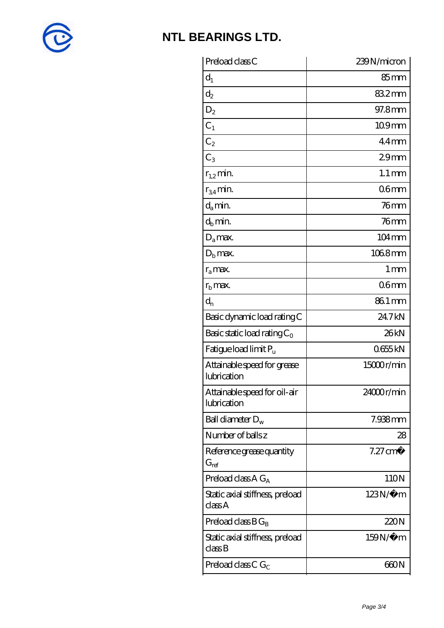

| Preload class C                                               | 239N/micron         |
|---------------------------------------------------------------|---------------------|
| $d_1$                                                         | 85 <sub>mm</sub>    |
| $\mathrm{d}_2$                                                | 832mm               |
| $D_2$                                                         | 97.8mm              |
| $C_1$                                                         | 109mm               |
| $C_2$                                                         | $44$ mm             |
| $C_3$                                                         | 29 <sub>mm</sub>    |
| $r_{1,2}$ min.                                                | $1.1 \,\mathrm{mm}$ |
| $r_{34}$ min.                                                 | 06 <sub>mm</sub>    |
| $d_a$ min.                                                    | $76$ mm             |
| $d_b$ min.                                                    | $76$ mm             |
| $D_a$ max.                                                    | 104mm               |
| $D_{\rm b}$ max.                                              | 1068mm              |
| $r_a$ max.                                                    | 1 <sub>mm</sub>     |
| $r_{\rm b}$ max.                                              | 06 <sub>mm</sub>    |
| $\mathrm{d}_{\mathrm{n}}$                                     | 861 mm              |
| Basic dynamic load rating C                                   | 24.7kN              |
| Basic static load rating $C_0$                                | 26kN                |
| Fatigue load limit Pu                                         | 0655kN              |
| Attainable speed for grease<br>lubrication                    | 15000r/min          |
| Attainable speed for oil-air<br>lubrication                   | 24000r/min          |
| Ball diameter $D_w$                                           | 7.938mm             |
| Number of balls z                                             | 28                  |
| Reference grease quantity<br>$G_{\mathrm{ref}}$               | $7.27 \text{ cm}^3$ |
| Preload class A $G_A$                                         | 110N                |
| Static axial stiffness, preload<br>classA                     | $123N/\mu$ m        |
| Preload class $BG_B$                                          | 220N                |
| Static axial stiffness, preload<br>$\mathrm{class}\mathrm{B}$ | 159N/μ m            |
| Preload class C $G_C$                                         | 660N                |